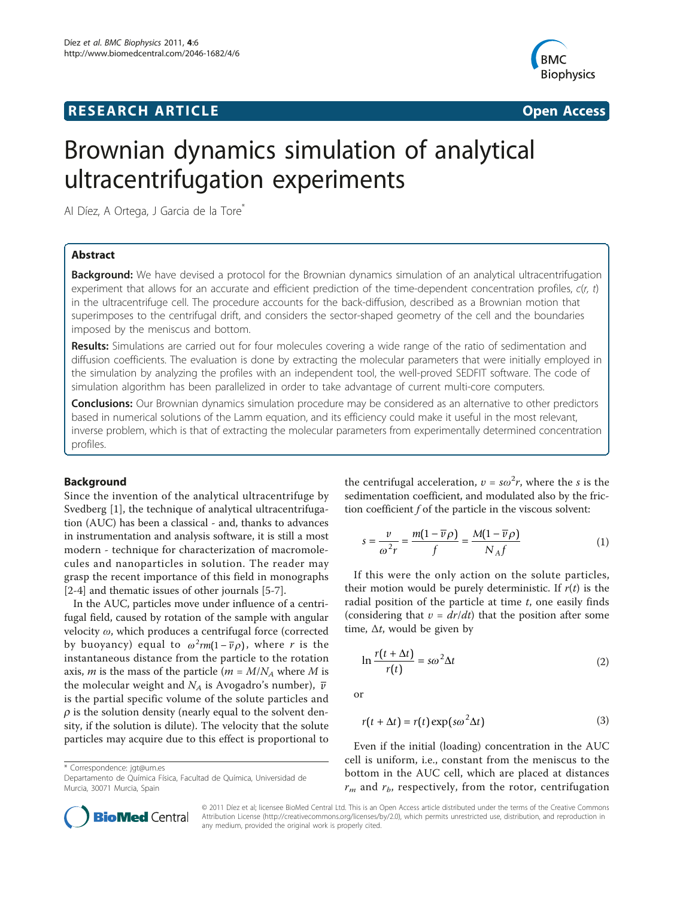## **RESEARCH ARTICLE Example 2008 CONSIDERING ACCESS**



# Brownian dynamics simulation of analytical ultracentrifugation experiments

AI Díez, A Ortega, J Garcia de la Tore<sup>\*</sup>

## Abstract

**Background:** We have devised a protocol for the Brownian dynamics simulation of an analytical ultracentrifugation experiment that allows for an accurate and efficient prediction of the time-dependent concentration profiles,  $c(r, t)$ in the ultracentrifuge cell. The procedure accounts for the back-diffusion, described as a Brownian motion that superimposes to the centrifugal drift, and considers the sector-shaped geometry of the cell and the boundaries imposed by the meniscus and bottom.

Results: Simulations are carried out for four molecules covering a wide range of the ratio of sedimentation and diffusion coefficients. The evaluation is done by extracting the molecular parameters that were initially employed in the simulation by analyzing the profiles with an independent tool, the well-proved SEDFIT software. The code of simulation algorithm has been parallelized in order to take advantage of current multi-core computers.

**Conclusions:** Our Brownian dynamics simulation procedure may be considered as an alternative to other predictors based in numerical solutions of the Lamm equation, and its efficiency could make it useful in the most relevant, inverse problem, which is that of extracting the molecular parameters from experimentally determined concentration profiles.

## Background

Since the invention of the analytical ultracentrifuge by Svedberg [\[1](#page-6-0)], the technique of analytical ultracentrifugation (AUC) has been a classical - and, thanks to advances in instrumentation and analysis software, it is still a most modern - technique for characterization of macromolecules and nanoparticles in solution. The reader may grasp the recent importance of this field in monographs [[2-4](#page-6-0)] and thematic issues of other journals [\[5](#page-6-0)-[7\]](#page-6-0).

In the AUC, particles move under influence of a centrifugal field, caused by rotation of the sample with angular velocity  $\omega$ , which produces a centrifugal force (corrected by buoyancy) equal to  $\omega^2 r m (1 - \overline{v} \rho)$ , where r is the instantaneous distance from the particle to the rotation axis, *m* is the mass of the particle ( $m = M/N_A$  where M is the molecular weight and  $N_A$  is Avogadro's number),  $\overline{v}$ is the partial specific volume of the solute particles and  $\rho$  is the solution density (nearly equal to the solvent density, if the solution is dilute). The velocity that the solute particles may acquire due to this effect is proportional to

\* Correspondence: [jgt@um.es](mailto:jgt@um.es)

the centrifugal acceleration,  $v = s\omega^2 r$ , where the *s* is the sedimentation coefficient, and modulated also by the friction coefficient  $f$  of the particle in the viscous solvent:

$$
s = \frac{v}{\omega^2 r} = \frac{m(1 - \overline{v}\rho)}{f} = \frac{M(1 - \overline{v}\rho)}{N_A f}
$$
(1)

If this were the only action on the solute particles, their motion would be purely deterministic. If  $r(t)$  is the radial position of the particle at time  $t$ , one easily finds (considering that  $v = dr/dt$ ) that the position after some time,  $\Delta t$ , would be given by

$$
\ln \frac{r(t + \Delta t)}{r(t)} = s\omega^2 \Delta t \tag{2}
$$

or

$$
r(t + \Delta t) = r(t) \exp(s\omega^2 \Delta t)
$$
 (3)

Even if the initial (loading) concentration in the AUC cell is uniform, i.e., constant from the meniscus to the bottom in the AUC cell, which are placed at distances  $r_m$  and  $r_b$ , respectively, from the rotor, centrifugation



© 2011 Díez et al; licensee BioMed Central Ltd. This is an Open Access article distributed under the terms of the Creative Commons Attribution License [\(http://creativecommons.org/licenses/by/2.0](http://creativecommons.org/licenses/by/2.0)), which permits unrestricted use, distribution, and reproduction in any medium, provided the original work is properly cited.

Departamento de Química Física, Facultad de Química, Universidad de Murcia, 30071 Murcia, Spain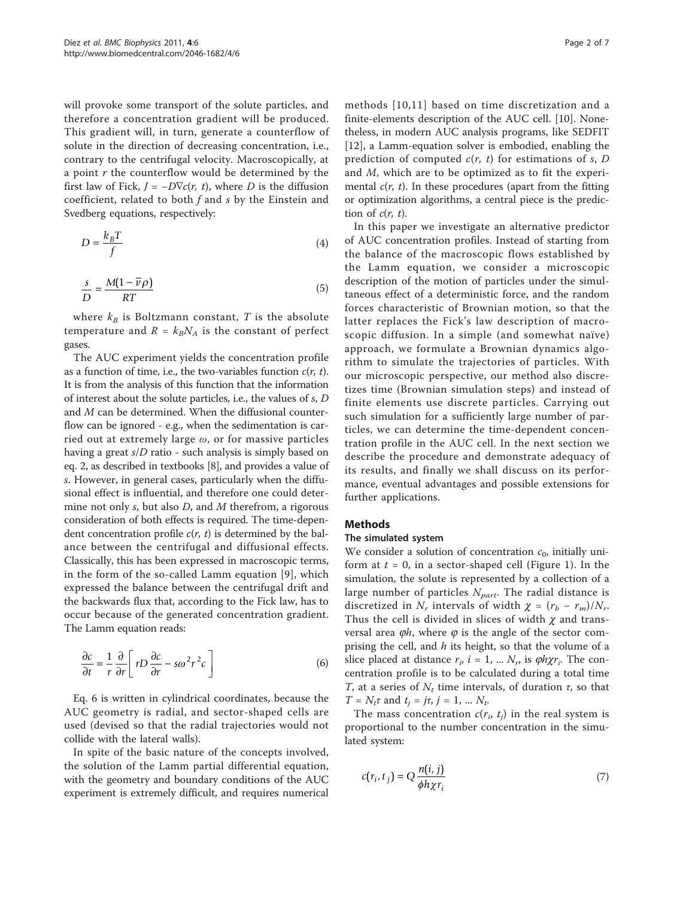will provoke some transport of the solute particles, and therefore a concentration gradient will be produced. This gradient will, in turn, generate a counterflow of solute in the direction of decreasing concentration, i.e., contrary to the centrifugal velocity. Macroscopically, at a point  $r$  the counterflow would be determined by the first law of Fick,  $J = -D\nabla c(r, t)$ , where D is the diffusion coefficient, related to both f and s by the Einstein and Svedberg equations, respectively:

$$
D = \frac{k_B T}{f} \tag{4}
$$

$$
\frac{s}{D} = \frac{M(1 - \overline{v}\rho)}{RT}
$$
\n(5)

where  $k_B$  is Boltzmann constant, T is the absolute temperature and  $R = k_B N_A$  is the constant of perfect gases.

The AUC experiment yields the concentration profile as a function of time, i.e., the two-variables function  $c(r, t)$ . It is from the analysis of this function that the information of interest about the solute particles, i.e., the values of s, D and M can be determined. When the diffusional counterflow can be ignored - e.g., when the sedimentation is carried out at extremely large  $\omega$ , or for massive particles having a great s/D ratio - such analysis is simply based on eq. 2, as described in textbooks [\[8](#page-6-0)], and provides a value of s. However, in general cases, particularly when the diffusional effect is influential, and therefore one could determine not only  $s$ , but also  $D$ , and  $M$  therefrom, a rigorous consideration of both effects is required. The time-dependent concentration profile  $c(r, t)$  is determined by the balance between the centrifugal and diffusional effects. Classically, this has been expressed in macroscopic terms, in the form of the so-called Lamm equation [\[9](#page-6-0)], which expressed the balance between the centrifugal drift and the backwards flux that, according to the Fick law, has to occur because of the generated concentration gradient. The Lamm equation reads:

$$
\frac{\partial c}{\partial t} = \frac{1}{r} \frac{\partial}{\partial r} \left[ rD \frac{\partial c}{\partial r} - s\omega^2 r^2 c \right]
$$
 (6)

Eq. 6 is written in cylindrical coordinates, because the AUC geometry is radial, and sector-shaped cells are used (devised so that the radial trajectories would not collide with the lateral walls).

In spite of the basic nature of the concepts involved, the solution of the Lamm partial differential equation, with the geometry and boundary conditions of the AUC experiment is extremely difficult, and requires numerical

methods [[10,11](#page-6-0)] based on time discretization and a finite-elements description of the AUC cell. [[10\]](#page-6-0). Nonetheless, in modern AUC analysis programs, like SEDFIT [[12\]](#page-6-0), a Lamm-equation solver is embodied, enabling the prediction of computed  $c(r, t)$  for estimations of s, D and M, which are to be optimized as to fit the experimental  $c(r, t)$ . In these procedures (apart from the fitting or optimization algorithms, a central piece is the prediction of  $c(r, t)$ .

In this paper we investigate an alternative predictor of AUC concentration profiles. Instead of starting from the balance of the macroscopic flows established by the Lamm equation, we consider a microscopic description of the motion of particles under the simultaneous effect of a deterministic force, and the random forces characteristic of Brownian motion, so that the latter replaces the Fick's law description of macroscopic diffusion. In a simple (and somewhat naïve) approach, we formulate a Brownian dynamics algorithm to simulate the trajectories of particles. With our microscopic perspective, our method also discretizes time (Brownian simulation steps) and instead of finite elements use discrete particles. Carrying out such simulation for a sufficiently large number of particles, we can determine the time-dependent concentration profile in the AUC cell. In the next section we describe the procedure and demonstrate adequacy of its results, and finally we shall discuss on its performance, eventual advantages and possible extensions for further applications.

#### Methods

#### The simulated system

We consider a solution of concentration  $c_0$ , initially uniform at  $t = 0$ , in a sector-shaped cell (Figure [1\)](#page-2-0). In the simulation, the solute is represented by a collection of a large number of particles  $N_{part}$ . The radial distance is discretized in  $N_r$  intervals of width  $\chi = (r_b - r_m)/N_r$ . Thus the cell is divided in slices of width  $\chi$  and transversal area  $\varphi h$ , where  $\varphi$  is the angle of the sector comprising the cell, and  $h$  its height, so that the volume of a slice placed at distance  $r_i$ ,  $i = 1$ , ...  $N_r$ , is  $\varphi h \chi r_i$ . The concentration profile is to be calculated during a total time T, at a series of  $N_t$  time intervals, of duration  $\tau$ , so that  $T = N_t \tau$  and  $t_j = j\tau$ ,  $j = 1, \dots N_t$ .

The mass concentration  $c(r_i, t_i)$  in the real system is proportional to the number concentration in the simulated system:

$$
c(r_i, t_j) = Q \frac{n(i, j)}{\phi h \chi r_i}
$$
 (7)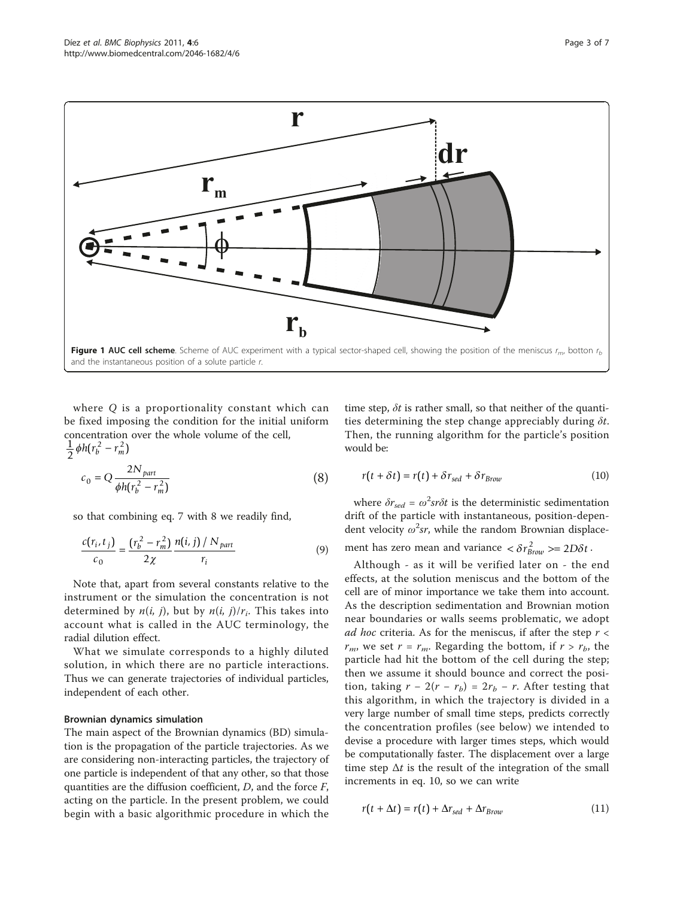<span id="page-2-0"></span>

where Q is a proportionality constant which can be fixed imposing the condition for the initial uniform concentration over the whole volume of the cell, 1  $\frac{1}{2}$   $\phi h(r_b^2 - r_m^2)$ 

$$
c_0 = Q \frac{2N_{part}}{\phi h(r_b^2 - r_m^2)}
$$
 (8)

so that combining eq. 7 with 8 we readily find,

$$
\frac{c(r_i, t_j)}{c_0} = \frac{(r_b^2 - r_m^2)}{2\chi} \frac{n(i, j) / N_{part}}{r_i}
$$
(9)

Note that, apart from several constants relative to the instrument or the simulation the concentration is not determined by  $n(i, j)$ , but by  $n(i, j)/r_i$ . This takes into account what is called in the AUC terminology, the radial dilution effect.

What we simulate corresponds to a highly diluted solution, in which there are no particle interactions. Thus we can generate trajectories of individual particles, independent of each other.

## Brownian dynamics simulation

The main aspect of the Brownian dynamics (BD) simulation is the propagation of the particle trajectories. As we are considering non-interacting particles, the trajectory of one particle is independent of that any other, so that those quantities are the diffusion coefficient,  $D$ , and the force  $F$ , acting on the particle. In the present problem, we could begin with a basic algorithmic procedure in which the

time step,  $\delta t$  is rather small, so that neither of the quantities determining the step change appreciably during  $\delta t$ . Then, the running algorithm for the particle's position would be:

$$
r(t + \delta t) = r(t) + \delta r_{sed} + \delta r_{Brown}
$$
\n(10)

where  $\delta r_{\text{sed}} = \omega^2 s r \delta t$  is the deterministic sedimentation drift of the particle with instantaneous, position-dependent velocity  $\omega^2$ sr, while the random Brownian displacement has zero mean and variance  $\langle \delta r_{\text{Brown}}^2 \rangle = 2D\delta t$ .

Although - as it will be verified later on - the end effects, at the solution meniscus and the bottom of the cell are of minor importance we take them into account. As the description sedimentation and Brownian motion near boundaries or walls seems problematic, we adopt *ad hoc* criteria. As for the meniscus, if after the step  $r <$  $r_m$ , we set  $r = r_m$ . Regarding the bottom, if  $r > r_b$ , the particle had hit the bottom of the cell during the step; then we assume it should bounce and correct the position, taking  $r - 2(r - r_b) = 2r_b - r$ . After testing that this algorithm, in which the trajectory is divided in a very large number of small time steps, predicts correctly the concentration profiles (see below) we intended to devise a procedure with larger times steps, which would be computationally faster. The displacement over a large time step  $\Delta t$  is the result of the integration of the small increments in eq. 10, so we can write

$$
r(t + \Delta t) = r(t) + \Delta r_{sed} + \Delta r_{Brown}
$$
\n(11)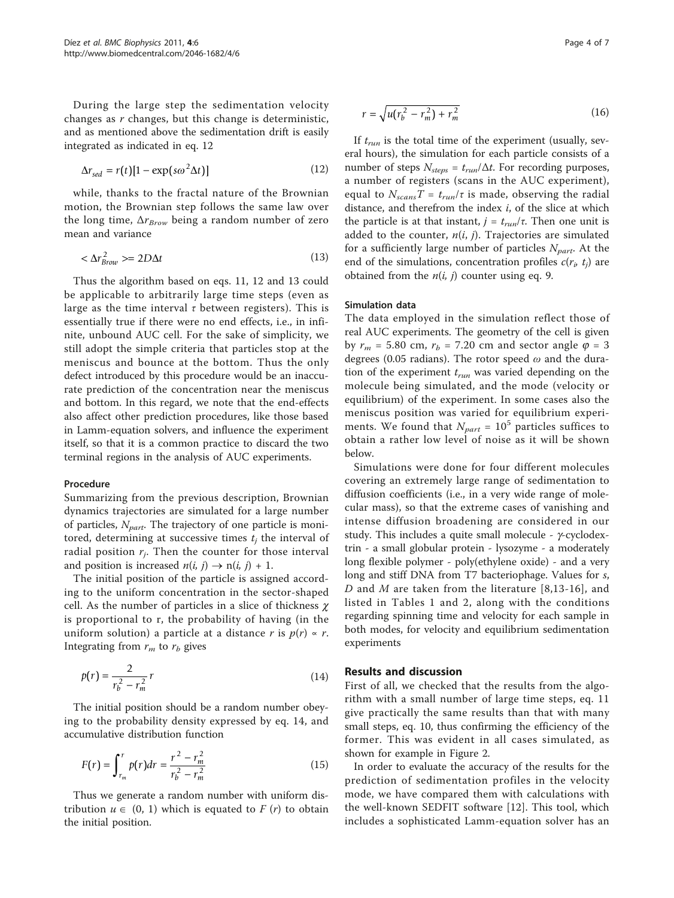During the large step the sedimentation velocity changes as r changes, but this change is deterministic, and as mentioned above the sedimentation drift is easily integrated as indicated in eq. 12

$$
\Delta r_{sed} = r(t)[1 - \exp(s\omega^2 \Delta t)] \tag{12}
$$

while, thanks to the fractal nature of the Brownian motion, the Brownian step follows the same law over the long time,  $\Delta r_{Brown}$  being a random number of zero mean and variance

$$
\langle \Delta r_{\text{Brown}}^2 \rangle = 2D\Delta t \tag{13}
$$

Thus the algorithm based on eqs. 11, 12 and 13 could be applicable to arbitrarily large time steps (even as large as the time interval  $\tau$  between registers). This is essentially true if there were no end effects, i.e., in infinite, unbound AUC cell. For the sake of simplicity, we still adopt the simple criteria that particles stop at the meniscus and bounce at the bottom. Thus the only defect introduced by this procedure would be an inaccurate prediction of the concentration near the meniscus and bottom. In this regard, we note that the end-effects also affect other prediction procedures, like those based in Lamm-equation solvers, and influence the experiment itself, so that it is a common practice to discard the two terminal regions in the analysis of AUC experiments.

#### Procedure

Summarizing from the previous description, Brownian dynamics trajectories are simulated for a large number of particles,  $N_{part}$ . The trajectory of one particle is monitored, determining at successive times  $t_i$  the interval of radial position  $r_i$ . Then the counter for those interval and position is increased  $n(i, j) \rightarrow n(i, j) + 1$ .

The initial position of the particle is assigned according to the uniform concentration in the sector-shaped cell. As the number of particles in a slice of thickness  $\chi$ is proportional to r, the probability of having (in the uniform solution) a particle at a distance r is  $p(r) \propto r$ . Integrating from  $r_m$  to  $r_b$  gives

$$
p(r) = \frac{2}{r_b^2 - r_m^2} r
$$
 (14)

The initial position should be a random number obeying to the probability density expressed by eq. 14, and accumulative distribution function

$$
F(r) = \int_{r_m}^{r} p(r) dr = \frac{r^2 - r_m^2}{r_b^2 - r_m^2}
$$
 (15)

Thus we generate a random number with uniform distribution  $u \in (0, 1)$  which is equated to F (r) to obtain the initial position.

$$
r = \sqrt{u(r_b^2 - r_m^2) + r_m^2}
$$
 (16)

If  $t_{run}$  is the total time of the experiment (usually, several hours), the simulation for each particle consists of a number of steps  $N_{steps} = t_{run}/\Delta t$ . For recording purposes, a number of registers (scans in the AUC experiment), equal to  $N_{scans}T = t_{run}/\tau$  is made, observing the radial distance, and therefrom the index  $i$ , of the slice at which the particle is at that instant,  $j = t_{run}/\tau$ . Then one unit is added to the counter,  $n(i, j)$ . Trajectories are simulated for a sufficiently large number of particles  $N_{part}$ . At the end of the simulations, concentration profiles  $c(r_i, t_i)$  are obtained from the  $n(i, j)$  counter using eq. 9.

## Simulation data

The data employed in the simulation reflect those of real AUC experiments. The geometry of the cell is given by  $r_m = 5.80$  cm,  $r_b = 7.20$  cm and sector angle  $\varphi = 3$ degrees (0.05 radians). The rotor speed  $\omega$  and the duration of the experiment  $t_{run}$  was varied depending on the molecule being simulated, and the mode (velocity or equilibrium) of the experiment. In some cases also the meniscus position was varied for equilibrium experiments. We found that  $N_{part} = 10^5$  particles suffices to obtain a rather low level of noise as it will be shown below.

Simulations were done for four different molecules covering an extremely large range of sedimentation to diffusion coefficients (i.e., in a very wide range of molecular mass), so that the extreme cases of vanishing and intense diffusion broadening are considered in our study. This includes a quite small molecule -  $\gamma$ -cyclodextrin - a small globular protein - lysozyme - a moderately long flexible polymer - poly(ethylene oxide) - and a very long and stiff DNA from T7 bacteriophage. Values for s, D and M are taken from the literature [[8](#page-6-0),[13](#page-6-0)-[16\]](#page-6-0), and listed in Tables [1](#page-4-0) and [2,](#page-4-0) along with the conditions regarding spinning time and velocity for each sample in both modes, for velocity and equilibrium sedimentation experiments

## Results and discussion

First of all, we checked that the results from the algorithm with a small number of large time steps, eq. 11 give practically the same results than that with many small steps, eq. 10, thus confirming the efficiency of the former. This was evident in all cases simulated, as shown for example in Figure [2](#page-4-0).

In order to evaluate the accuracy of the results for the prediction of sedimentation profiles in the velocity mode, we have compared them with calculations with the well-known SEDFIT software [\[12](#page-6-0)]. This tool, which includes a sophisticated Lamm-equation solver has an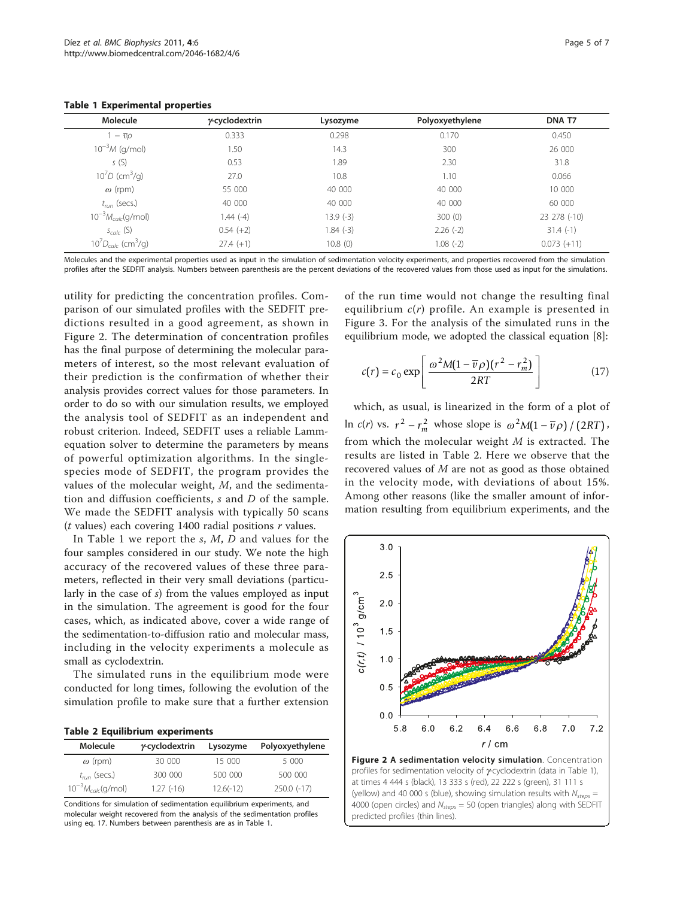<span id="page-4-0"></span>Table 1 Experimental properties

| Molecule                              | y-cyclodextrin | Lysozyme   | Polyoxyethylene | DNA T7        |
|---------------------------------------|----------------|------------|-----------------|---------------|
| $1-\overline{v}\rho$                  | 0.333          | 0.298      | 0.170           | 0.450         |
| $10^{-3}M$ (g/mol)                    | 1.50           | 14.3       | 300             | 26 000        |
| S(S)                                  | 0.53           | 1.89       | 2.30            | 31.8          |
| $10^{7}D$ (cm <sup>3</sup> /g)        | 27.0           | 10.8       | 1.10            | 0.066         |
| $\omega$ (rpm)                        | 55 000         | 40 000     | 40 000          | 10 000        |
| $t_{\rm run}$ (secs.)                 | 40 000         | 40 000     | 40 000          | 60 000        |
| $10^{-3} M_{calc}$ (g/mol)            | $1.44(-4)$     | $13.9(-3)$ | 300(0)          | 23 278 (-10)  |
| $S_{calc}$ (S)                        | $0.54 (+2)$    | $1.84(-3)$ | $2.26(-2)$      | $31.4(-1)$    |
| $10^{7}D_{calc}$ (cm <sup>3</sup> /g) | $27.4 (+1)$    | 10.8(0)    | $1.08(-2)$      | $0.073 (+11)$ |

Molecules and the experimental properties used as input in the simulation of sedimentation velocity experiments, and properties recovered from the simulation profiles after the SEDFIT analysis. Numbers between parenthesis are the percent deviations of the recovered values from those used as input for the simulations.

utility for predicting the concentration profiles. Comparison of our simulated profiles with the SEDFIT predictions resulted in a good agreement, as shown in Figure 2. The determination of concentration profiles has the final purpose of determining the molecular parameters of interest, so the most relevant evaluation of their prediction is the confirmation of whether their analysis provides correct values for those parameters. In order to do so with our simulation results, we employed the analysis tool of SEDFIT as an independent and robust criterion. Indeed, SEDFIT uses a reliable Lammequation solver to determine the parameters by means of powerful optimization algorithms. In the singlespecies mode of SEDFIT, the program provides the values of the molecular weight, M, and the sedimentation and diffusion coefficients, s and D of the sample. We made the SEDFIT analysis with typically 50 scans  $(t$  values) each covering 1400 radial positions  $r$  values.

In Table 1 we report the  $s$ ,  $M$ ,  $D$  and values for the four samples considered in our study. We note the high accuracy of the recovered values of these three parameters, reflected in their very small deviations (particularly in the case of s) from the values employed as input in the simulation. The agreement is good for the four cases, which, as indicated above, cover a wide range of the sedimentation-to-diffusion ratio and molecular mass, including in the velocity experiments a molecule as small as cyclodextrin.

The simulated runs in the equilibrium mode were conducted for long times, following the evolution of the simulation profile to make sure that a further extension

|  |  |  | <b>Table 2 Equilibrium experiments</b> |
|--|--|--|----------------------------------------|
|--|--|--|----------------------------------------|

| Molecule                  | y-cyclodextrin | Lysozyme    | Polyoxyethylene |
|---------------------------|----------------|-------------|-----------------|
| $\omega$ (rpm)            | 30,000         | 15 000      | 5 000           |
| $t_{\rm rim}$ (secs.)     | 300 000        | 500 000     | 500 000         |
| $10^{-3}M_{calc}$ (g/mol) | $1.27(-16)$    | $12.6(-12)$ | $250.0$ (-17)   |

Conditions for simulation of sedimentation equilibrium experiments, and molecular weight recovered from the analysis of the sedimentation profiles using eq. 17. Numbers between parenthesis are as in Table 1.

of the run time would not change the resulting final equilibrium  $c(r)$  profile. An example is presented in Figure [3](#page-5-0). For the analysis of the simulated runs in the equilibrium mode, we adopted the classical equation [\[8](#page-6-0)]:

$$
c(r) = c_0 \exp\left[\frac{\omega^2 M (1 - \overline{v}\rho)(r^2 - r_m^2)}{2RT}\right]
$$
 (17)

which, as usual, is linearized in the form of a plot of ln *c*(*r*) vs.  $r^2 - r_m^2$  whose slope is  $\omega^2 M (1 - \overline{v} \rho) / (2RT)$ . from which the molecular weight  $M$  is extracted. The results are listed in Table 2. Here we observe that the recovered values of M are not as good as those obtained in the velocity mode, with deviations of about 15%. Among other reasons (like the smaller amount of information resulting from equilibrium experiments, and the



(yellow) and 40 000 s (blue), showing simulation results with  $N_{steps} =$ 4000 (open circles) and  $N_{steps} = 50$  (open triangles) along with SEDFIT predicted profiles (thin lines).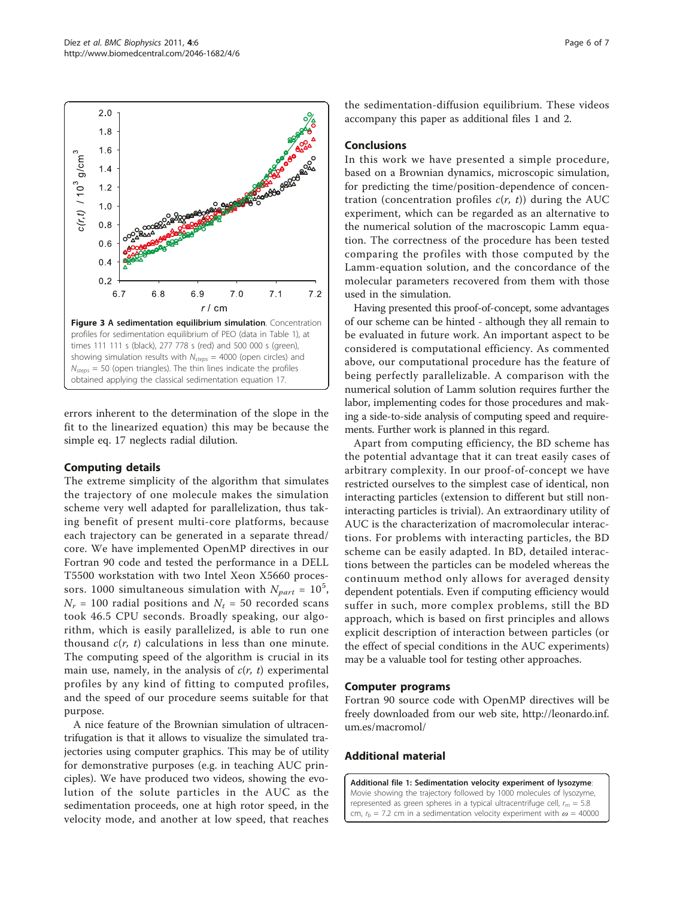<span id="page-5-0"></span>

errors inherent to the determination of the slope in the fit to the linearized equation) this may be because the simple eq. 17 neglects radial dilution.

#### Computing details

The extreme simplicity of the algorithm that simulates the trajectory of one molecule makes the simulation scheme very well adapted for parallelization, thus taking benefit of present multi-core platforms, because each trajectory can be generated in a separate thread/ core. We have implemented OpenMP directives in our Fortran 90 code and tested the performance in a DELL T5500 workstation with two Intel Xeon X5660 processors. 1000 simultaneous simulation with  $N_{part}=10^5$ ,  $N_r$  = 100 radial positions and  $N_t$  = 50 recorded scans took 46.5 CPU seconds. Broadly speaking, our algorithm, which is easily parallelized, is able to run one thousand  $c(r, t)$  calculations in less than one minute. The computing speed of the algorithm is crucial in its main use, namely, in the analysis of  $c(r, t)$  experimental profiles by any kind of fitting to computed profiles, and the speed of our procedure seems suitable for that purpose.

A nice feature of the Brownian simulation of ultracentrifugation is that it allows to visualize the simulated trajectories using computer graphics. This may be of utility for demonstrative purposes (e.g. in teaching AUC principles). We have produced two videos, showing the evolution of the solute particles in the AUC as the sedimentation proceeds, one at high rotor speed, in the velocity mode, and another at low speed, that reaches

the sedimentation-diffusion equilibrium. These videos accompany this paper as additional files 1 and [2](#page-6-0).

## Conclusions

In this work we have presented a simple procedure, based on a Brownian dynamics, microscopic simulation, for predicting the time/position-dependence of concentration (concentration profiles  $c(r, t)$ ) during the AUC experiment, which can be regarded as an alternative to the numerical solution of the macroscopic Lamm equation. The correctness of the procedure has been tested comparing the profiles with those computed by the Lamm-equation solution, and the concordance of the molecular parameters recovered from them with those used in the simulation.

Having presented this proof-of-concept, some advantages of our scheme can be hinted - although they all remain to be evaluated in future work. An important aspect to be considered is computational efficiency. As commented above, our computational procedure has the feature of being perfectly parallelizable. A comparison with the numerical solution of Lamm solution requires further the labor, implementing codes for those procedures and making a side-to-side analysis of computing speed and requirements. Further work is planned in this regard.

Apart from computing efficiency, the BD scheme has the potential advantage that it can treat easily cases of arbitrary complexity. In our proof-of-concept we have restricted ourselves to the simplest case of identical, non interacting particles (extension to different but still noninteracting particles is trivial). An extraordinary utility of AUC is the characterization of macromolecular interactions. For problems with interacting particles, the BD scheme can be easily adapted. In BD, detailed interactions between the particles can be modeled whereas the continuum method only allows for averaged density dependent potentials. Even if computing efficiency would suffer in such, more complex problems, still the BD approach, which is based on first principles and allows explicit description of interaction between particles (or the effect of special conditions in the AUC experiments) may be a valuable tool for testing other approaches.

#### Computer programs

Fortran 90 source code with OpenMP directives will be freely downloaded from our web site, [http://leonardo.inf.](http://leonardo.inf.um.es/macromol/) [um.es/macromol/](http://leonardo.inf.um.es/macromol/)

### Additional material

[Additional file 1: S](http://www.biomedcentral.com/content/supplementary/2046-1682-4-6-S1.???)edimentation velocity experiment of lysozyme: Movie showing the trajectory followed by 1000 molecules of lysozyme, represented as green spheres in a typical ultracentrifuge cell,  $r_m = 5.8$ cm,  $r_b = 7.2$  cm in a sedimentation velocity experiment with  $\omega = 40000$